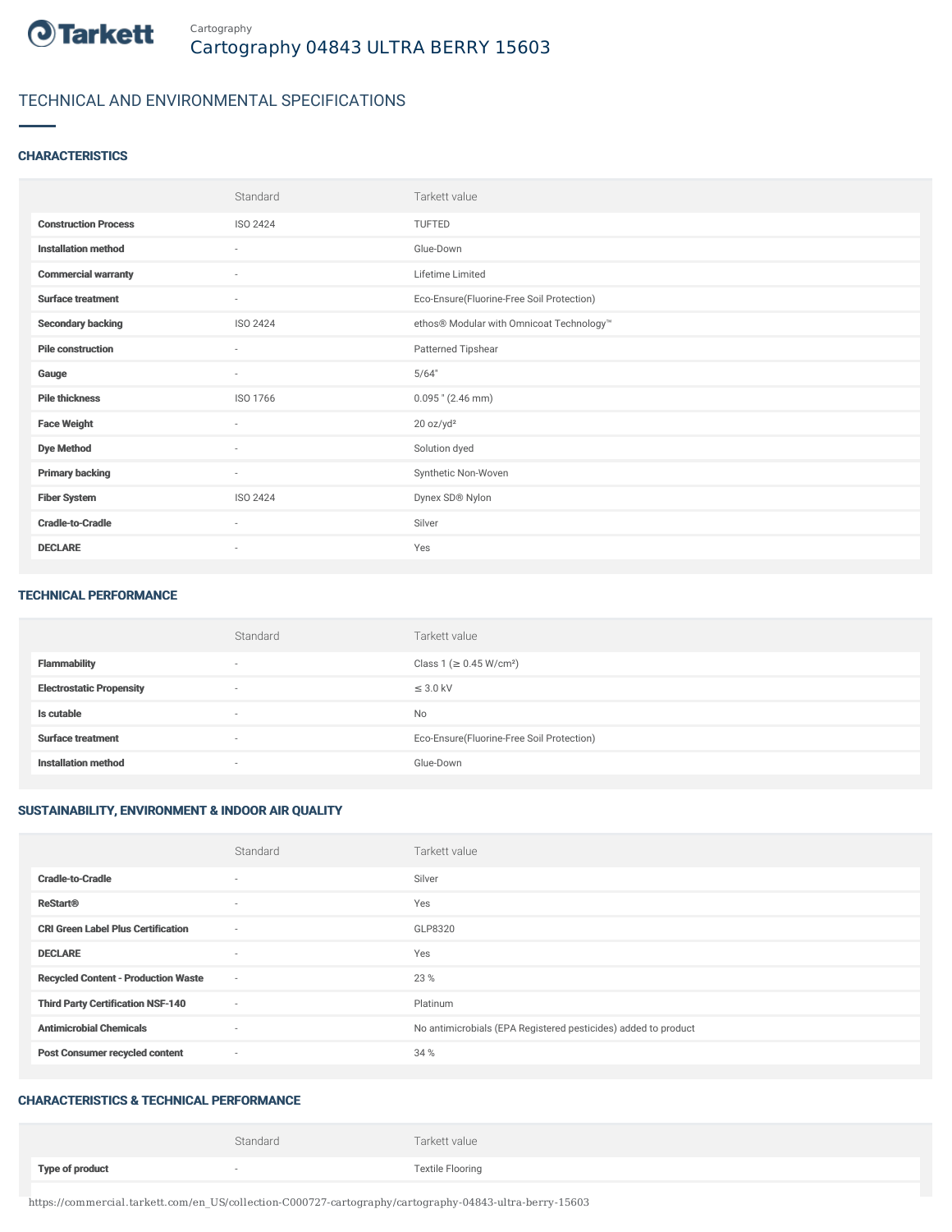

## TECHNICAL AND ENVIRONMENTAL SPECIFICATIONS

#### **CHARACTERISTICS**

|                             | Standard                 | Tarkett value                             |
|-----------------------------|--------------------------|-------------------------------------------|
| <b>Construction Process</b> | ISO 2424                 | <b>TUFTED</b>                             |
| <b>Installation method</b>  | $\sim$                   | Glue-Down                                 |
| <b>Commercial warranty</b>  | $\sim$                   | Lifetime Limited                          |
| <b>Surface treatment</b>    | $\sim$                   | Eco-Ensure(Fluorine-Free Soil Protection) |
| <b>Secondary backing</b>    | ISO 2424                 | ethos® Modular with Omnicoat Technology™  |
| <b>Pile construction</b>    | $\sim$                   | Patterned Tipshear                        |
| Gauge                       | $\sim$                   | 5/64"                                     |
| <b>Pile thickness</b>       | ISO 1766                 | $0.095$ " (2.46 mm)                       |
| <b>Face Weight</b>          | ٠                        | 20 oz/yd <sup>2</sup>                     |
| <b>Dye Method</b>           | $\sim$                   | Solution dyed                             |
| <b>Primary backing</b>      | $\sim$                   | Synthetic Non-Woven                       |
| <b>Fiber System</b>         | <b>ISO 2424</b>          | Dynex SD® Nylon                           |
| <b>Cradle-to-Cradle</b>     | $\sim$                   | Silver                                    |
| <b>DECLARE</b>              | $\overline{\phantom{a}}$ | Yes                                       |

#### TECHNICAL PERFORMANCE

|                                 | Standard | Tarkett value                             |
|---------------------------------|----------|-------------------------------------------|
| <b>Flammability</b>             | $\sim$   | Class 1 (≥ 0.45 W/cm <sup>2</sup> )       |
| <b>Electrostatic Propensity</b> | $\sim$   | $\leq$ 3.0 kV                             |
| Is cutable                      | $\sim$   | <b>No</b>                                 |
| <b>Surface treatment</b>        | $\sim$   | Eco-Ensure(Fluorine-Free Soil Protection) |
| <b>Installation method</b>      | $\sim$   | Glue-Down                                 |

### SUSTAINABILITY, ENVIRONMENT & INDOOR AIR QUALITY

|                                            | Standard                 | Tarkett value                                                  |
|--------------------------------------------|--------------------------|----------------------------------------------------------------|
| <b>Cradle-to-Cradle</b>                    | $\overline{\phantom{a}}$ | Silver                                                         |
| <b>ReStart®</b>                            | $\sim$                   | Yes                                                            |
| <b>CRI Green Label Plus Certification</b>  | $\sim$                   | GLP8320                                                        |
| <b>DECLARE</b>                             | $\overline{\phantom{a}}$ | Yes                                                            |
| <b>Recycled Content - Production Waste</b> | $\sim$                   | 23 %                                                           |
| <b>Third Party Certification NSF-140</b>   | $\sim$                   | Platinum                                                       |
| <b>Antimicrobial Chemicals</b>             | $\sim$                   | No antimicrobials (EPA Registered pesticides) added to product |
| <b>Post Consumer recycled content</b>      | $\sim$                   | 34 %                                                           |

#### CHARACTERISTICS & TECHNICAL PERFORMANCE

|                        | Standard | Tarkett value           |
|------------------------|----------|-------------------------|
| <b>Type of product</b> |          | <b>Textile Flooring</b> |